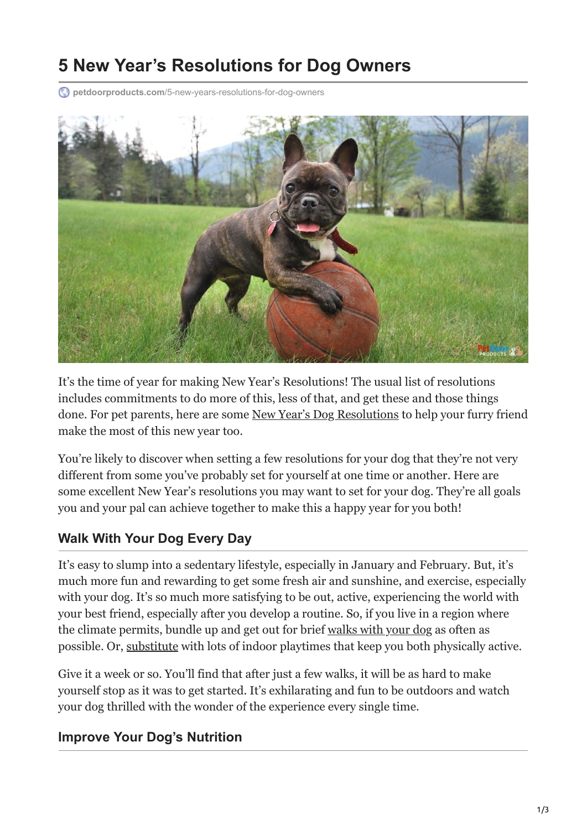# **5 New Year's Resolutions for Dog Owners**

**petdoorproducts.com**[/5-new-years-resolutions-for-dog-owners](https://petdoorproducts.com/5-new-years-resolutions-for-dog-owners/)



It's the time of year for making New Year's Resolutions! The usual list of resolutions includes commitments to do more of this, less of that, and get these and those things done. For pet parents, here are some [New Year's Dog Resolutions](https://petdoorproducts.com/how-to-ensure-pet-safety-convenience-for-cold-weather/) to help your furry friend make the most of this new year too.

You're likely to discover when setting a few resolutions for your dog that they're not very different from some you've probably set for yourself at one time or another. Here are some excellent New Year's resolutions you may want to set for your dog. They're all goals you and your pal can achieve together to make this a happy year for you both!

#### **Walk With Your Dog Every Day**

It's easy to slump into a sedentary lifestyle, especially in January and February. But, it's much more fun and rewarding to get some fresh air and sunshine, and exercise, especially with your dog. It's so much more satisfying to be out, active, experiencing the world with your best friend, especially after you develop a routine. So, if you live in a region where the climate permits, bundle up and get out for brief [walks with your dog](https://petdoorproducts.com/the-4-most-important-tips-for-walking-your-dog/) as often as possible. Or, [substitute](https://petdoorproducts.com/5-ways-to-keep-your-dog-active-in-winter/) with lots of indoor playtimes that keep you both physically active.

Give it a week or so. You'll find that after just a few walks, it will be as hard to make yourself stop as it was to get started. It's exhilarating and fun to be outdoors and watch your dog thrilled with the wonder of the experience every single time.

#### **Improve Your Dog's Nutrition**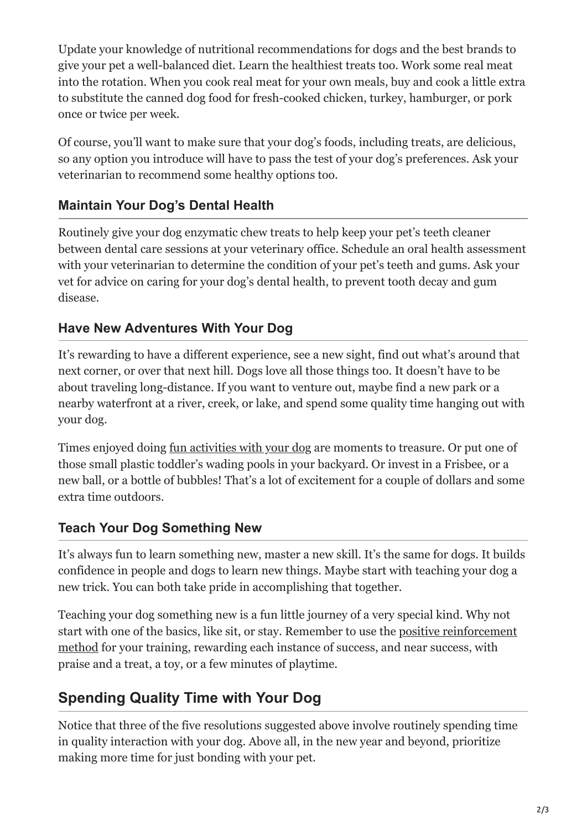Update your knowledge of nutritional recommendations for dogs and the best brands to give your pet a well-balanced diet. Learn the healthiest treats too. Work some real meat into the rotation. When you cook real meat for your own meals, buy and cook a little extra to substitute the canned dog food for fresh-cooked chicken, turkey, hamburger, or pork once or twice per week.

Of course, you'll want to make sure that your dog's foods, including treats, are delicious, so any option you introduce will have to pass the test of your dog's preferences. Ask your veterinarian to recommend some healthy options too.

### **Maintain Your Dog's Dental Health**

Routinely give your dog enzymatic chew treats to help keep your pet's teeth cleaner between dental care sessions at your veterinary office. Schedule an oral health assessment with your veterinarian to determine the condition of your pet's teeth and gums. Ask your vet for advice on caring for your dog's dental health, to prevent tooth decay and gum disease.

### **Have New Adventures With Your Dog**

It's rewarding to have a different experience, see a new sight, find out what's around that next corner, or over that next hill. Dogs love all those things too. It doesn't have to be about traveling long-distance. If you want to venture out, maybe find a new park or a nearby waterfront at a river, creek, or lake, and spend some quality time hanging out with your dog.

Times enjoyed doing [fun activities with your dog](https://petdoorproducts.com/6-fun-fitness-activities-to-help-keep-your-dog-healthy/) are moments to treasure. Or put one of those small plastic toddler's wading pools in your backyard. Or invest in a Frisbee, or a new ball, or a bottle of bubbles! That's a lot of excitement for a couple of dollars and some extra time outdoors.

## **Teach Your Dog Something New**

It's always fun to learn something new, master a new skill. It's the same for dogs. It builds confidence in people and dogs to learn new things. Maybe start with teaching your dog a new trick. You can both take pride in accomplishing that together.

Teaching your dog something new is a fun little journey of a very special kind. Why not [start with one of the basics, like sit, or stay. Remember to use the positive reinforcement](https://petdoorproducts.com/using-positive-reinforcement-to-train-your-dog/) method for your training, rewarding each instance of success, and near success, with praise and a treat, a toy, or a few minutes of playtime.

# **Spending Quality Time with Your Dog**

Notice that three of the five resolutions suggested above involve routinely spending time in quality interaction with your dog. Above all, in the new year and beyond, prioritize making more time for just bonding with your pet.